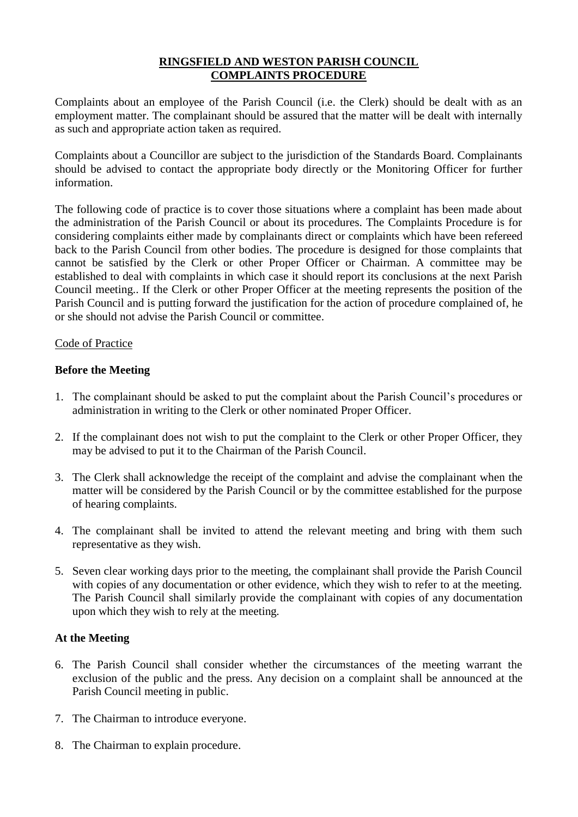# **RINGSFIELD AND WESTON PARISH COUNCIL COMPLAINTS PROCEDURE**

Complaints about an employee of the Parish Council (i.e. the Clerk) should be dealt with as an employment matter. The complainant should be assured that the matter will be dealt with internally as such and appropriate action taken as required.

Complaints about a Councillor are subject to the jurisdiction of the Standards Board. Complainants should be advised to contact the appropriate body directly or the Monitoring Officer for further information.

The following code of practice is to cover those situations where a complaint has been made about the administration of the Parish Council or about its procedures. The Complaints Procedure is for considering complaints either made by complainants direct or complaints which have been refereed back to the Parish Council from other bodies. The procedure is designed for those complaints that cannot be satisfied by the Clerk or other Proper Officer or Chairman. A committee may be established to deal with complaints in which case it should report its conclusions at the next Parish Council meeting.. If the Clerk or other Proper Officer at the meeting represents the position of the Parish Council and is putting forward the justification for the action of procedure complained of, he or she should not advise the Parish Council or committee.

## Code of Practice

## **Before the Meeting**

- 1. The complainant should be asked to put the complaint about the Parish Council's procedures or administration in writing to the Clerk or other nominated Proper Officer.
- 2. If the complainant does not wish to put the complaint to the Clerk or other Proper Officer, they may be advised to put it to the Chairman of the Parish Council.
- 3. The Clerk shall acknowledge the receipt of the complaint and advise the complainant when the matter will be considered by the Parish Council or by the committee established for the purpose of hearing complaints.
- 4. The complainant shall be invited to attend the relevant meeting and bring with them such representative as they wish.
- 5. Seven clear working days prior to the meeting, the complainant shall provide the Parish Council with copies of any documentation or other evidence, which they wish to refer to at the meeting. The Parish Council shall similarly provide the complainant with copies of any documentation upon which they wish to rely at the meeting.

#### **At the Meeting**

- 6. The Parish Council shall consider whether the circumstances of the meeting warrant the exclusion of the public and the press. Any decision on a complaint shall be announced at the Parish Council meeting in public.
- 7. The Chairman to introduce everyone.
- 8. The Chairman to explain procedure.